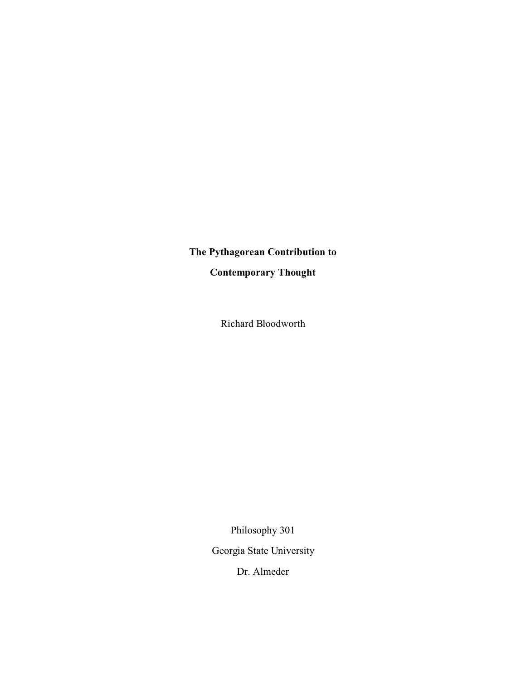## **The Pythagorean Contribution to**

**Contemporary Thought**

Richard Bloodworth

Philosophy 301 Georgia State University

Dr. Almeder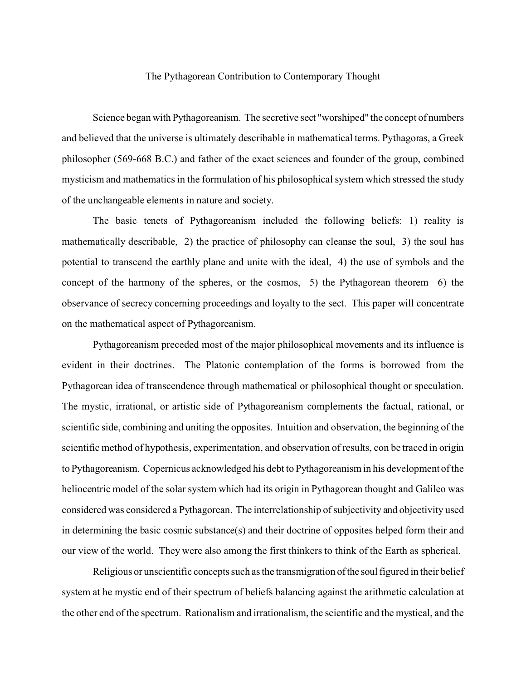## The Pythagorean Contribution to Contemporary Thought

Science began with Pythagoreanism. The secretive sect "worshiped" the concept of numbers and believed that the universe is ultimately describable in mathematical terms. Pythagoras, a Greek philosopher (569-668 B.C.) and father of the exact sciences and founder of the group, combined mysticism and mathematics in the formulation of his philosophical system which stressed the study of the unchangeable elements in nature and society.

The basic tenets of Pythagoreanism included the following beliefs: 1) reality is mathematically describable, 2) the practice of philosophy can cleanse the soul, 3) the soul has potential to transcend the earthly plane and unite with the ideal, 4) the use of symbols and the concept of the harmony of the spheres, or the cosmos, 5) the Pythagorean theorem 6) the observance of secrecy concerning proceedings and loyalty to the sect. This paper will concentrate on the mathematical aspect of Pythagoreanism.

Pythagoreanism preceded most of the major philosophical movements and its influence is evident in their doctrines. The Platonic contemplation of the forms is borrowed from the Pythagorean idea of transcendence through mathematical or philosophical thought or speculation. The mystic, irrational, or artistic side of Pythagoreanism complements the factual, rational, or scientific side, combining and uniting the opposites. Intuition and observation, the beginning of the scientific method of hypothesis, experimentation, and observation of results, con be traced in origin to Pythagoreanism. Copernicus acknowledged his debt to Pythagoreanism in his development of the heliocentric model of the solar system which had its origin in Pythagorean thought and Galileo was considered was considered a Pythagorean. The interrelationship of subjectivity and objectivity used in determining the basic cosmic substance(s) and their doctrine of opposites helped form their and our view of the world. They were also among the first thinkers to think of the Earth as spherical.

Religious or unscientific concepts such as the transmigration of the soul figured in their belief system at he mystic end of their spectrum of beliefs balancing against the arithmetic calculation at the other end of the spectrum. Rationalism and irrationalism, the scientific and the mystical, and the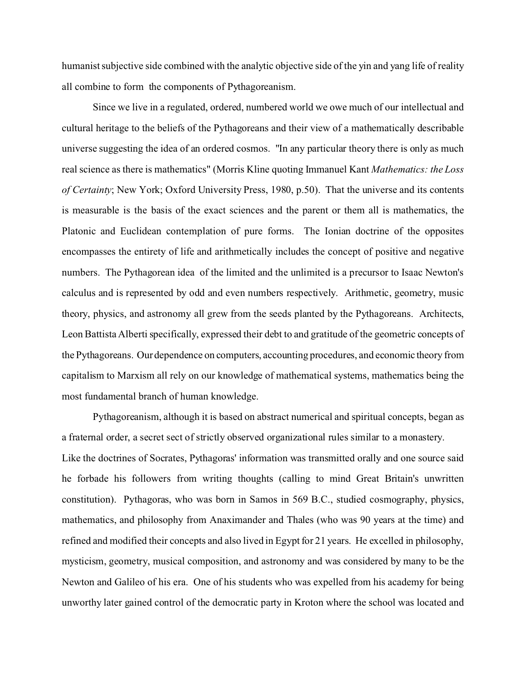humanist subjective side combined with the analytic objective side of the yin and yang life of reality all combine to form the components of Pythagoreanism.

Since we live in a regulated, ordered, numbered world we owe much of our intellectual and cultural heritage to the beliefs of the Pythagoreans and their view of a mathematically describable universe suggesting the idea of an ordered cosmos. "In any particular theory there is only as much real science as there is mathematics" (Morris Kline quoting Immanuel Kant *Mathematics: the Loss of Certainty*; New York; Oxford University Press, 1980, p.50). That the universe and its contents is measurable is the basis of the exact sciences and the parent or them all is mathematics, the Platonic and Euclidean contemplation of pure forms. The Ionian doctrine of the opposites encompasses the entirety of life and arithmetically includes the concept of positive and negative numbers. The Pythagorean idea of the limited and the unlimited is a precursor to Isaac Newton's calculus and is represented by odd and even numbers respectively. Arithmetic, geometry, music theory, physics, and astronomy all grew from the seeds planted by the Pythagoreans. Architects, Leon Battista Alberti specifically, expressed their debt to and gratitude of the geometric concepts of the Pythagoreans. Our dependence on computers, accounting procedures, and economic theory from capitalism to Marxism all rely on our knowledge of mathematical systems, mathematics being the most fundamental branch of human knowledge.

Pythagoreanism, although it is based on abstract numerical and spiritual concepts, began as a fraternal order, a secret sect of strictly observed organizational rules similar to a monastery. Like the doctrines of Socrates, Pythagoras' information was transmitted orally and one source said he forbade his followers from writing thoughts (calling to mind Great Britain's unwritten constitution). Pythagoras, who was born in Samos in 569 B.C., studied cosmography, physics, mathematics, and philosophy from Anaximander and Thales (who was 90 years at the time) and refined and modified their concepts and also lived in Egypt for 21 years. He excelled in philosophy, mysticism, geometry, musical composition, and astronomy and was considered by many to be the Newton and Galileo of his era. One of his students who was expelled from his academy for being unworthy later gained control of the democratic party in Kroton where the school was located and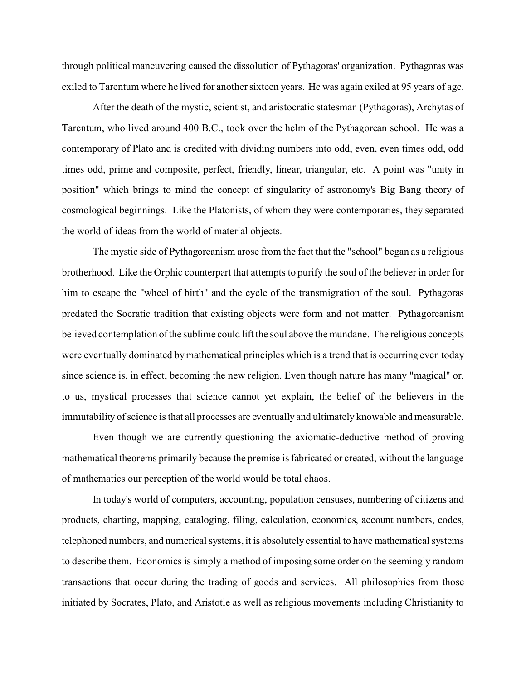through political maneuvering caused the dissolution of Pythagoras' organization. Pythagoras was exiled to Tarentum where he lived for another sixteen years. He was again exiled at 95 years of age.

After the death of the mystic, scientist, and aristocratic statesman (Pythagoras), Archytas of Tarentum, who lived around 400 B.C., took over the helm of the Pythagorean school. He was a contemporary of Plato and is credited with dividing numbers into odd, even, even times odd, odd times odd, prime and composite, perfect, friendly, linear, triangular, etc. A point was "unity in position" which brings to mind the concept of singularity of astronomy's Big Bang theory of cosmological beginnings. Like the Platonists, of whom they were contemporaries, they separated the world of ideas from the world of material objects.

The mystic side of Pythagoreanism arose from the fact that the "school" began as a religious brotherhood. Like the Orphic counterpart that attempts to purify the soul of the believer in order for him to escape the "wheel of birth" and the cycle of the transmigration of the soul. Pythagoras predated the Socratic tradition that existing objects were form and not matter. Pythagoreanism believed contemplation of the sublime could lift the soul above the mundane. The religious concepts were eventually dominated by mathematical principles which is a trend that is occurring even today since science is, in effect, becoming the new religion. Even though nature has many "magical" or, to us, mystical processes that science cannot yet explain, the belief of the believers in the immutability of science is that all processes are eventually and ultimately knowable and measurable.

Even though we are currently questioning the axiomatic-deductive method of proving mathematical theorems primarily because the premise is fabricated or created, without the language of mathematics our perception of the world would be total chaos.

In today's world of computers, accounting, population censuses, numbering of citizens and products, charting, mapping, cataloging, filing, calculation, economics, account numbers, codes, telephoned numbers, and numerical systems, it is absolutely essential to have mathematical systems to describe them. Economics is simply a method of imposing some order on the seemingly random transactions that occur during the trading of goods and services. All philosophies from those initiated by Socrates, Plato, and Aristotle as well as religious movements including Christianity to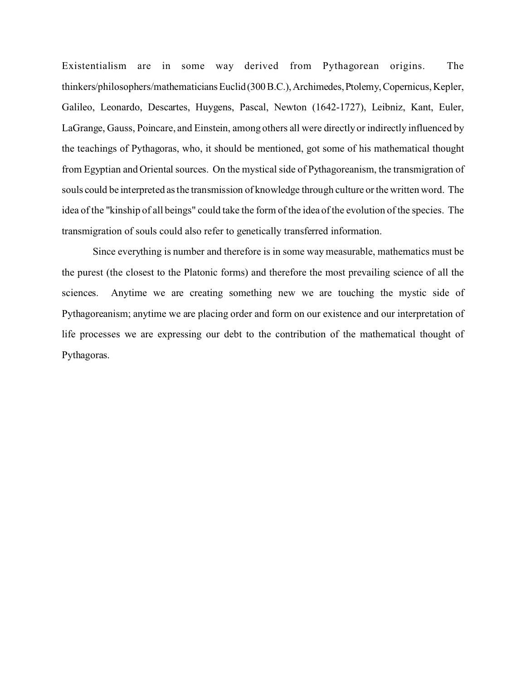Existentialism are in some way derived from Pythagorean origins. The thinkers/philosophers/mathematiciansEuclid(300B.C.),Archimedes,Ptolemy,Copernicus, Kepler, Galileo, Leonardo, Descartes, Huygens, Pascal, Newton (1642-1727), Leibniz, Kant, Euler, LaGrange, Gauss, Poincare, and Einstein, among others all were directly or indirectly influenced by the teachings of Pythagoras, who, it should be mentioned, got some of his mathematical thought from Egyptian and Oriental sources. On the mystical side of Pythagoreanism, the transmigration of souls could be interpreted as the transmission of knowledge through culture or the written word. The idea of the "kinship of all beings" could take the form of the idea of the evolution of the species. The transmigration of souls could also refer to genetically transferred information.

Since everything is number and therefore is in some way measurable, mathematics must be the purest (the closest to the Platonic forms) and therefore the most prevailing science of all the sciences. Anytime we are creating something new we are touching the mystic side of Pythagoreanism; anytime we are placing order and form on our existence and our interpretation of life processes we are expressing our debt to the contribution of the mathematical thought of Pythagoras.